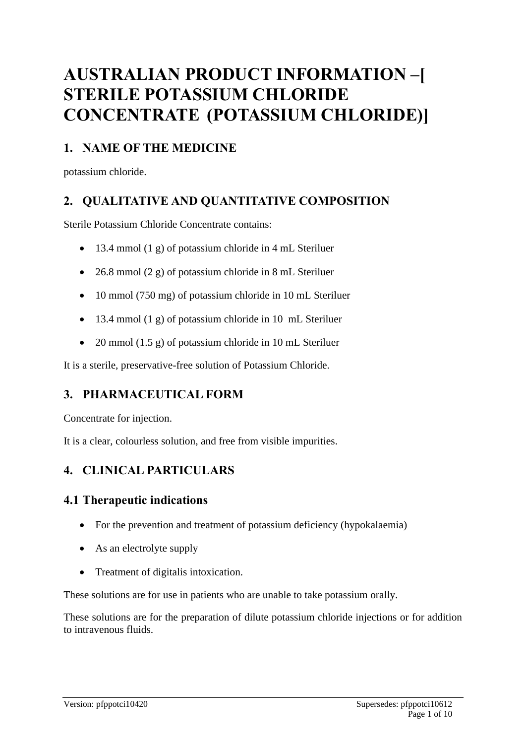# **AUSTRALIAN PRODUCT INFORMATION –[ STERILE POTASSIUM CHLORIDE CONCENTRATE (POTASSIUM CHLORIDE)]**

# **1. NAME OF THE MEDICINE**

potassium chloride.

# **2. QUALITATIVE AND QUANTITATIVE COMPOSITION**

Sterile Potassium Chloride Concentrate contains:

- 13.4 mmol (1 g) of potassium chloride in 4 mL Steriluer
- 26.8 mmol (2 g) of potassium chloride in 8 mL Steriluer
- 10 mmol (750 mg) of potassium chloride in 10 mL Steriluer
- 13.4 mmol (1 g) of potassium chloride in 10 mL Steriluer
- 20 mmol (1.5 g) of potassium chloride in 10 mL Steriluer

It is a sterile, preservative-free solution of Potassium Chloride.

# **3. PHARMACEUTICAL FORM**

Concentrate for injection.

It is a clear, colourless solution, and free from visible impurities.

# **4. CLINICAL PARTICULARS**

# **4.1 Therapeutic indications**

- For the prevention and treatment of potassium deficiency (hypokalaemia)
- As an electrolyte supply
- Treatment of digitalis intoxication.

These solutions are for use in patients who are unable to take potassium orally.

These solutions are for the preparation of dilute potassium chloride injections or for addition to intravenous fluids.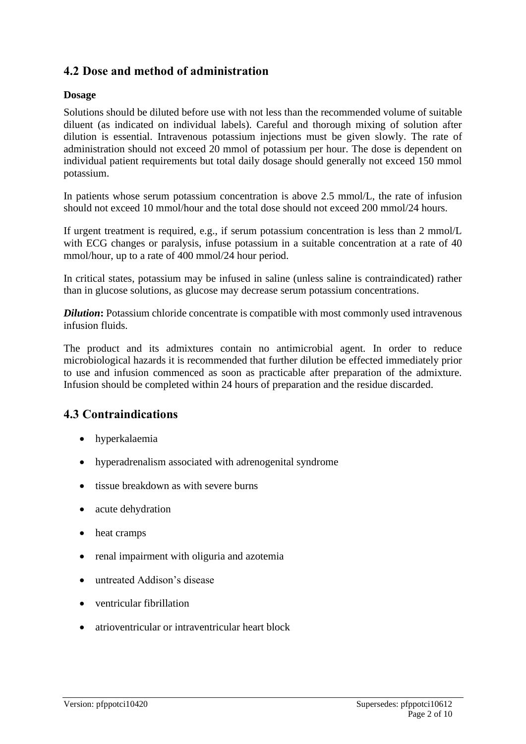# **4.2 Dose and method of administration**

#### **Dosage**

Solutions should be diluted before use with not less than the recommended volume of suitable diluent (as indicated on individual labels). Careful and thorough mixing of solution after dilution is essential. Intravenous potassium injections must be given slowly. The rate of administration should not exceed 20 mmol of potassium per hour. The dose is dependent on individual patient requirements but total daily dosage should generally not exceed 150 mmol potassium.

In patients whose serum potassium concentration is above 2.5 mmol/L, the rate of infusion should not exceed 10 mmol/hour and the total dose should not exceed 200 mmol/24 hours.

If urgent treatment is required, e.g., if serum potassium concentration is less than 2 mmol/L with ECG changes or paralysis, infuse potassium in a suitable concentration at a rate of 40 mmol/hour, up to a rate of 400 mmol/24 hour period.

In critical states, potassium may be infused in saline (unless saline is contraindicated) rather than in glucose solutions, as glucose may decrease serum potassium concentrations.

*Dilution*: Potassium chloride concentrate is compatible with most commonly used intravenous infusion fluids.

The product and its admixtures contain no antimicrobial agent. In order to reduce microbiological hazards it is recommended that further dilution be effected immediately prior to use and infusion commenced as soon as practicable after preparation of the admixture. Infusion should be completed within 24 hours of preparation and the residue discarded.

# **4.3 Contraindications**

- hyperkalaemia
- hyperadrenalism associated with adrenogenital syndrome
- tissue breakdown as with severe burns
- acute dehydration
- heat cramps
- renal impairment with oliguria and azotemia
- untreated Addison's disease
- ventricular fibrillation
- atrioventricular or intraventricular heart block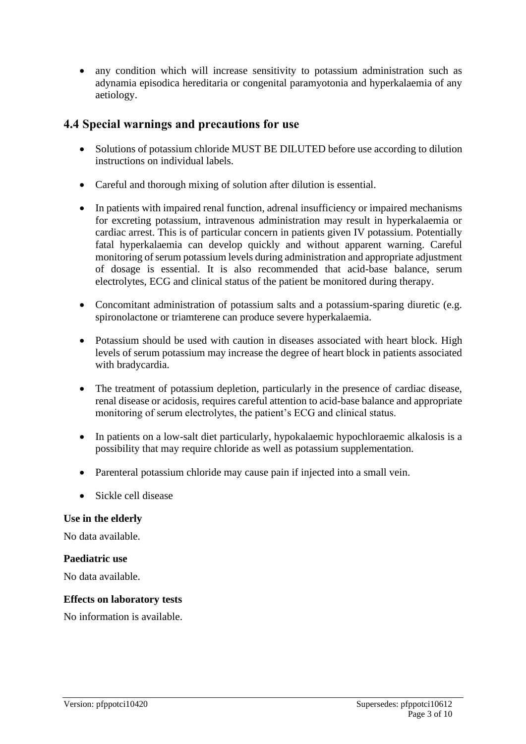• any condition which will increase sensitivity to potassium administration such as adynamia episodica hereditaria or congenital paramyotonia and hyperkalaemia of any aetiology.

# **4.4 Special warnings and precautions for use**

- Solutions of potassium chloride MUST BE DILUTED before use according to dilution instructions on individual labels.
- Careful and thorough mixing of solution after dilution is essential.
- In patients with impaired renal function, adrenal insufficiency or impaired mechanisms for excreting potassium, intravenous administration may result in hyperkalaemia or cardiac arrest. This is of particular concern in patients given IV potassium. Potentially fatal hyperkalaemia can develop quickly and without apparent warning. Careful monitoring of serum potassium levels during administration and appropriate adjustment of dosage is essential. It is also recommended that acid-base balance, serum electrolytes, ECG and clinical status of the patient be monitored during therapy.
- Concomitant administration of potassium salts and a potassium-sparing diuretic (e.g. spironolactone or triamterene can produce severe hyperkalaemia.
- Potassium should be used with caution in diseases associated with heart block. High levels of serum potassium may increase the degree of heart block in patients associated with bradycardia.
- The treatment of potassium depletion, particularly in the presence of cardiac disease, renal disease or acidosis, requires careful attention to acid-base balance and appropriate monitoring of serum electrolytes, the patient's ECG and clinical status.
- In patients on a low-salt diet particularly, hypokalaemic hypochloraemic alkalosis is a possibility that may require chloride as well as potassium supplementation.
- Parenteral potassium chloride may cause pain if injected into a small vein.
- Sickle cell disease

#### **Use in the elderly**

No data available.

#### **Paediatric use**

No data available.

#### **Effects on laboratory tests**

No information is available.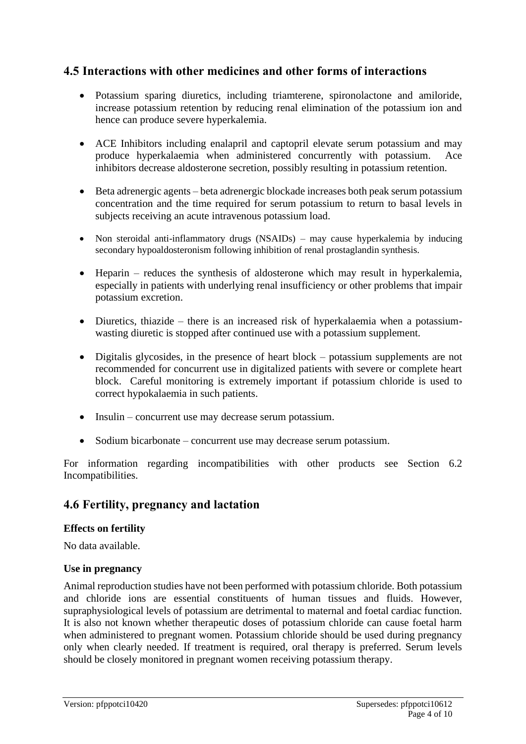# **4.5 Interactions with other medicines and other forms of interactions**

- Potassium sparing diuretics, including triamterene, spironolactone and amiloride, increase potassium retention by reducing renal elimination of the potassium ion and hence can produce severe hyperkalemia.
- ACE Inhibitors including enalapril and captopril elevate serum potassium and may produce hyperkalaemia when administered concurrently with potassium. Ace inhibitors decrease aldosterone secretion, possibly resulting in potassium retention.
- Beta adrenergic agents beta adrenergic blockade increases both peak serum potassium concentration and the time required for serum potassium to return to basal levels in subjects receiving an acute intravenous potassium load.
- Non steroidal anti-inflammatory drugs (NSAIDs) may cause hyperkalemia by inducing secondary hypoaldosteronism following inhibition of renal prostaglandin synthesis.
- Heparin reduces the synthesis of aldosterone which may result in hyperkalemia, especially in patients with underlying renal insufficiency or other problems that impair potassium excretion.
- Diuretics, thiazide there is an increased risk of hyperkalaemia when a potassiumwasting diuretic is stopped after continued use with a potassium supplement.
- Digitalis glycosides, in the presence of heart block potassium supplements are not recommended for concurrent use in digitalized patients with severe or complete heart block. Careful monitoring is extremely important if potassium chloride is used to correct hypokalaemia in such patients.
- Insulin concurrent use may decrease serum potassium.
- Sodium bicarbonate concurrent use may decrease serum potassium.

For information regarding incompatibilities with other products see Section 6.2 Incompatibilities.

# **4.6 Fertility, pregnancy and lactation**

#### **Effects on fertility**

No data available.

#### **Use in pregnancy**

Animal reproduction studies have not been performed with potassium chloride. Both potassium and chloride ions are essential constituents of human tissues and fluids. However, supraphysiological levels of potassium are detrimental to maternal and foetal cardiac function. It is also not known whether therapeutic doses of potassium chloride can cause foetal harm when administered to pregnant women. Potassium chloride should be used during pregnancy only when clearly needed. If treatment is required, oral therapy is preferred. Serum levels should be closely monitored in pregnant women receiving potassium therapy.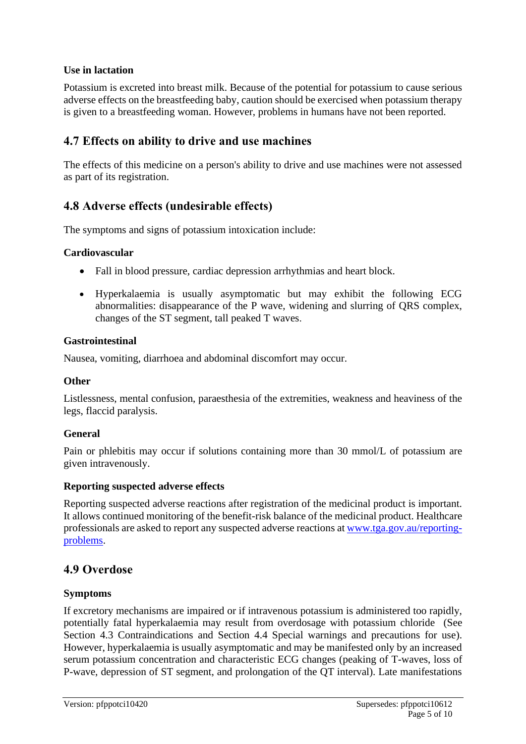#### **Use in lactation**

Potassium is excreted into breast milk. Because of the potential for potassium to cause serious adverse effects on the breastfeeding baby, caution should be exercised when potassium therapy is given to a breastfeeding woman. However, problems in humans have not been reported.

# **4.7 Effects on ability to drive and use machines**

The effects of this medicine on a person's ability to drive and use machines were not assessed as part of its registration.

# **4.8 Adverse effects (undesirable effects)**

The symptoms and signs of potassium intoxication include:

#### **Cardiovascular**

- Fall in blood pressure, cardiac depression arrhythmias and heart block.
- Hyperkalaemia is usually asymptomatic but may exhibit the following ECG abnormalities: disappearance of the P wave, widening and slurring of QRS complex, changes of the ST segment, tall peaked T waves.

#### **Gastrointestinal**

Nausea, vomiting, diarrhoea and abdominal discomfort may occur.

#### **Other**

Listlessness, mental confusion, paraesthesia of the extremities, weakness and heaviness of the legs, flaccid paralysis.

#### **General**

Pain or phlebitis may occur if solutions containing more than 30 mmol/L of potassium are given intravenously.

#### **Reporting suspected adverse effects**

Reporting suspected adverse reactions after registration of the medicinal product is important. It allows continued monitoring of the benefit-risk balance of the medicinal product. Healthcare professionals are asked to report any suspected adverse reactions at [www.tga.gov.au/reporting](http://www.tga.gov.au/reporting-problems)[problems.](http://www.tga.gov.au/reporting-problems)

# **4.9 Overdose**

#### **Symptoms**

If excretory mechanisms are impaired or if intravenous potassium is administered too rapidly, potentially fatal hyperkalaemia may result from overdosage with potassium chloride (See Section 4.3 Contraindications and Section 4.4 Special warnings and precautions for use). However, hyperkalaemia is usually asymptomatic and may be manifested only by an increased serum potassium concentration and characteristic ECG changes (peaking of T-waves, loss of P-wave, depression of ST segment, and prolongation of the QT interval). Late manifestations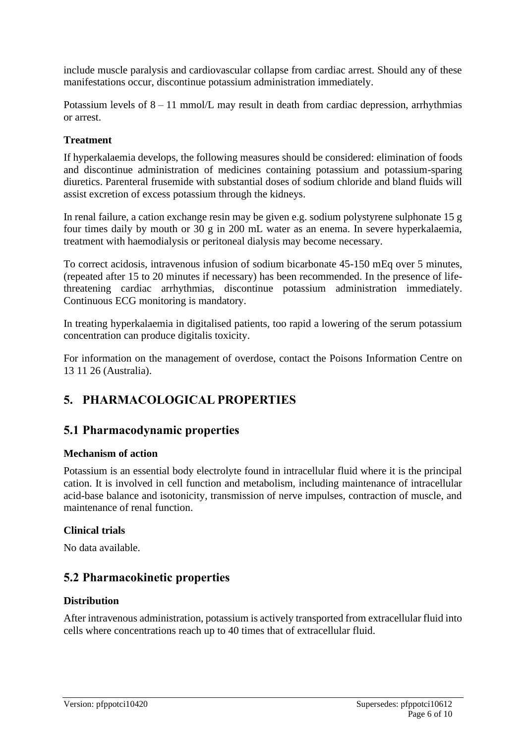include muscle paralysis and cardiovascular collapse from cardiac arrest. Should any of these manifestations occur, discontinue potassium administration immediately.

Potassium levels of  $8 - 11$  mmol/L may result in death from cardiac depression, arrhythmias or arrest.

#### **Treatment**

If hyperkalaemia develops, the following measures should be considered: elimination of foods and discontinue administration of medicines containing potassium and potassium-sparing diuretics. Parenteral frusemide with substantial doses of sodium chloride and bland fluids will assist excretion of excess potassium through the kidneys.

In renal failure, a cation exchange resin may be given e.g. sodium polystyrene sulphonate 15 g four times daily by mouth or 30 g in 200 mL water as an enema. In severe hyperkalaemia, treatment with haemodialysis or peritoneal dialysis may become necessary.

To correct acidosis, intravenous infusion of sodium bicarbonate 45-150 mEq over 5 minutes, (repeated after 15 to 20 minutes if necessary) has been recommended. In the presence of lifethreatening cardiac arrhythmias, discontinue potassium administration immediately. Continuous ECG monitoring is mandatory.

In treating hyperkalaemia in digitalised patients, too rapid a lowering of the serum potassium concentration can produce digitalis toxicity.

For information on the management of overdose, contact the Poisons Information Centre on 13 11 26 (Australia).

# **5. PHARMACOLOGICAL PROPERTIES**

# **5.1 Pharmacodynamic properties**

#### **Mechanism of action**

Potassium is an essential body electrolyte found in intracellular fluid where it is the principal cation. It is involved in cell function and metabolism, including maintenance of intracellular acid-base balance and isotonicity, transmission of nerve impulses, contraction of muscle, and maintenance of renal function.

#### **Clinical trials**

No data available.

# **5.2 Pharmacokinetic properties**

#### **Distribution**

After intravenous administration, potassium is actively transported from extracellular fluid into cells where concentrations reach up to 40 times that of extracellular fluid.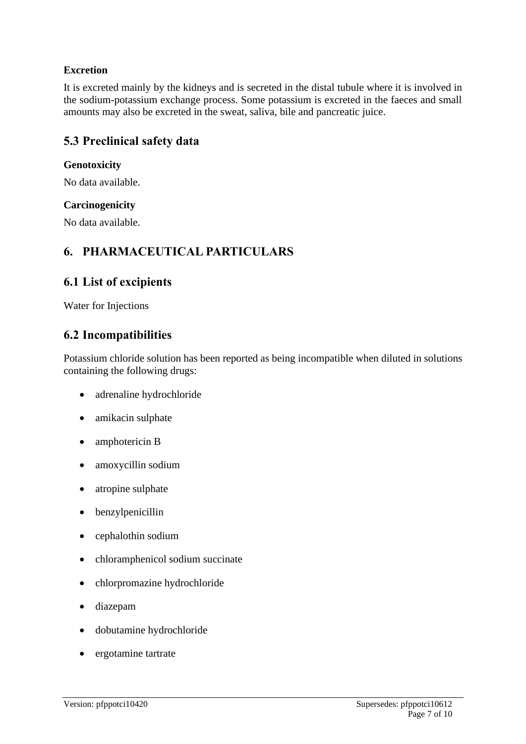### **Excretion**

It is excreted mainly by the kidneys and is secreted in the distal tubule where it is involved in the sodium-potassium exchange process. Some potassium is excreted in the faeces and small amounts may also be excreted in the sweat, saliva, bile and pancreatic juice.

# **5.3 Preclinical safety data**

#### **Genotoxicity**

No data available.

#### **Carcinogenicity**

No data available.

# **6. PHARMACEUTICAL PARTICULARS**

# **6.1 List of excipients**

Water for Injections

# **6.2 Incompatibilities**

Potassium chloride solution has been reported as being incompatible when diluted in solutions containing the following drugs:

- adrenaline hydrochloride
- amikacin sulphate
- amphotericin B
- amoxycillin sodium
- atropine sulphate
- benzylpenicillin
- cephalothin sodium
- chloramphenicol sodium succinate
- chlorpromazine hydrochloride
- diazepam
- dobutamine hydrochloride
- ergotamine tartrate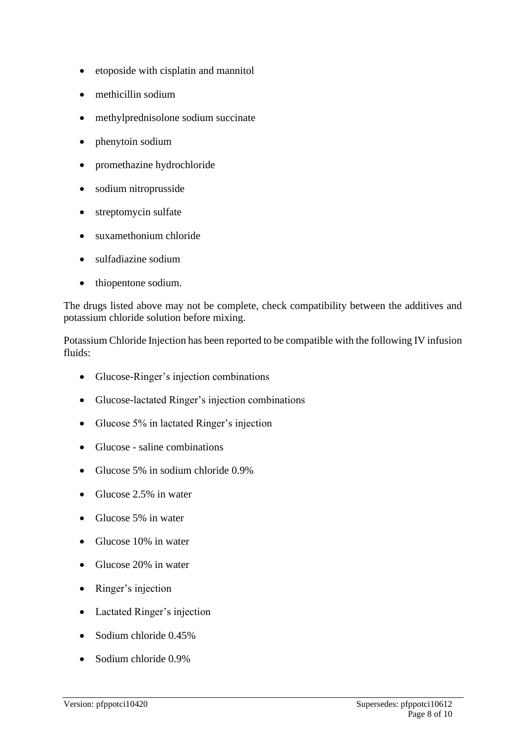- etoposide with cisplatin and mannitol
- methicillin sodium
- methylprednisolone sodium succinate
- phenytoin sodium
- promethazine hydrochloride
- sodium nitroprusside
- streptomycin sulfate
- suxamethonium chloride
- sulfadiazine sodium
- thiopentone sodium.

The drugs listed above may not be complete, check compatibility between the additives and potassium chloride solution before mixing.

Potassium Chloride Injection has been reported to be compatible with the following IV infusion fluids:

- Glucose-Ringer's injection combinations
- Glucose-lactated Ringer's injection combinations
- Glucose 5% in lactated Ringer's injection
- Glucose saline combinations
- Glucose 5% in sodium chloride 0.9%
- Glucose 2.5% in water
- Glucose 5% in water
- Glucose 10% in water
- Glucose 20% in water
- Ringer's injection
- Lactated Ringer's injection
- Sodium chloride 0.45%
- Sodium chloride 0.9%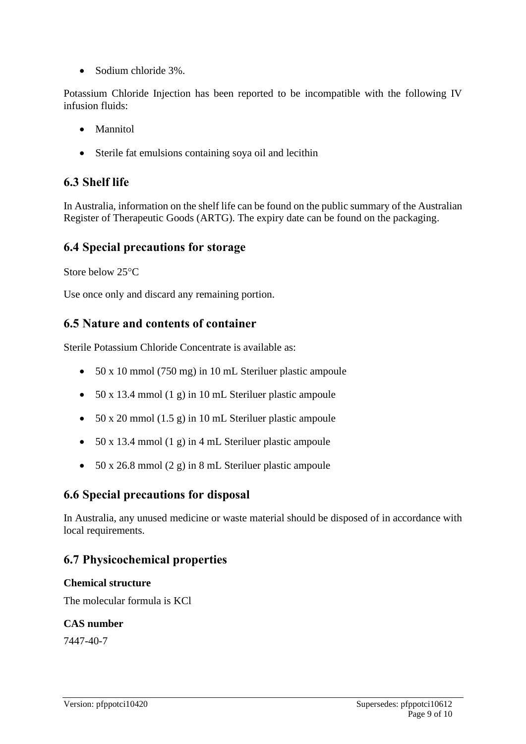• Sodium chloride 3%.

Potassium Chloride Injection has been reported to be incompatible with the following IV infusion fluids:

- Mannitol
- Sterile fat emulsions containing soya oil and lecithin

# **6.3 Shelf life**

In Australia, information on the shelf life can be found on the public summary of the Australian Register of Therapeutic Goods (ARTG). The expiry date can be found on the packaging.

# **6.4 Special precautions for storage**

Store below 25°C

Use once only and discard any remaining portion.

# **6.5 Nature and contents of container**

Sterile Potassium Chloride Concentrate is available as:

- 50 x 10 mmol (750 mg) in 10 mL Steriluer plastic ampoule
- 50 x 13.4 mmol (1 g) in 10 mL Steriluer plastic ampoule
- 50 x 20 mmol (1.5 g) in 10 mL Steriluer plastic ampoule
- 50 x 13.4 mmol (1 g) in 4 mL Steriluer plastic ampoule
- 50 x 26.8 mmol (2 g) in 8 mL Steriluer plastic ampoule

# **6.6 Special precautions for disposal**

In Australia, any unused medicine or waste material should be disposed of in accordance with local requirements.

# **6.7 Physicochemical properties**

#### **Chemical structure**

The molecular formula is KCl

#### **CAS number**

7447-40-7